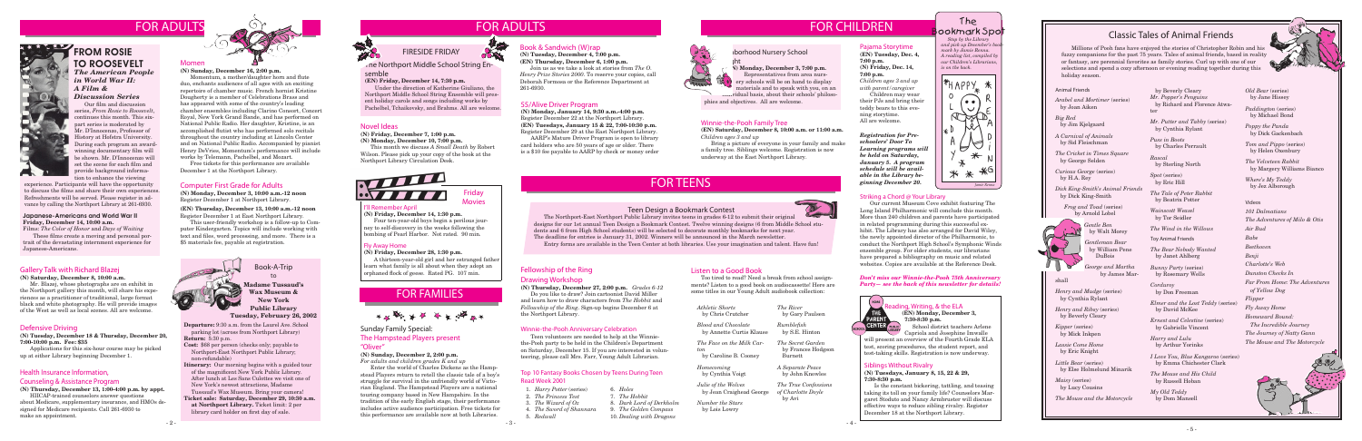The ookmark Spo

 *Stop by the Library and pick up December's bookmark by Jamie Renna. A reading list, compiled by our Children's Librarians,* 

*is on the back.*



### Health Insurance Information,

#### Counseling & Assistance Program

**(N) Thursday, December 13, 1:00-4:00 p.m. by appt.**

HIICAP-trained counselors answer questions about Medicare, supplementary insurance, and HMOs designed for Medicare recipients. Call 261-6930 to make an appointment.

#### Momen

# FOR FAMILIES



#### Novel Ideas

**(N) Friday, December 7, 1:00 p.m.**

**(N) Monday, December 10, 7:00 p.m.**

This month we discuss *A Small Death* by Robert Wilson. Please pick up your copy of the book at the Northport Library Circulation Desk.



## Book & Sandwich (W)rap

**(N) Tuesday, December 4, 7:00 p.m. (EN) Thursday, December 6, 1:00 p.m.** Join us as we take a look at stories from *The O.* 

*Henry Prize Stories 2000*. To reserve your copies, call Deborah Formosa or the Reference Department at 261-6930.

**Departure:** 9:30 a.m. from the Laurel Ave. School parking lot (across from Northport Library) **Return:** 5:30 p.m.



### **FROM ROSIE** TO ROOSEVELT *The American People in World War II: A Film &*

- **Cost:** \$68 per person (checks only; payable to Northport-East Northport Public Library; non-refundable)
- **Itinerary:** Our morning begins with a guided tour of the magnificent New York Public Library. After lunch at Les Sans Culottes we visit one of New York's newest attractions, Madame Tussaud's Wax Museum. Bring your camera!
- **Ticket sale: Saturday, December 29, 10:30 a.m. at Northport Library.** Ticket limit: 2 per library card holder on first day of sale.

their PJs and bring their teddy bears to this evening storytime. Winnie-the-Pooh Family Tree All are welcome.

Book-A-Trip to

#### **Madame Tussaud's Wax Museum & New York**

**Public Library Tuesday, February 26, 2002**

 Our film and discussion series, *From Rosie to Roosevelt*, continues this month. This sixpart series is moderated by Mr. D'Innocenzo, Professor of History at Hofstra University. During each program an awardwinning documentary film will be shown. Mr. D'Innocenzo will set the scene for each film and provide background information to enhance the viewing

#### *Discussion Series*

### Computer First Grade for Adults

**(N) Monday, December 3, 10:00 a.m.-12 noon** Register December 1 at Northport Library.

**(EN) Thursday, December 13, 10:00 a.m.-12 noon** Register December 1 at East Northport Library.

This user-friendly workshop is a follow-up to Computer Kindergarten. Topics will include working with text and files, word processing, and more. There is a \$5 materials fee, payable at registration.



#### Pajama Storytime

**(EN) Tuesday, Dec. 4, 7:00 p.m. (N) Friday, Dec. 14, 7:00 p.m.**

*Children ages 3 and up with parent/caregiver* Children may wear

**(EN) Saturday, December 8, 10:00 a.m. or 11:00 a.m.**

**Iborhood Nursery School** 

*Children ages 3 and up* 

Bring a picture of everyone in your family and make

a family tree. Siblings welcome. Registration is now

underway at the East Northport Library.

#### Japanese-Americans and World War II **Friday, December 14, 10:00 a.m.**

Films: *The Color of Honor* and *Days of Waiting* These films create a moving and personal portrait of the devastating internment experience for Japanese-Americans.

#### 55/Alive Driver Program

**(N) Monday, January 14, 9:30 a.m.-4:00 p.m.** Register December 22 at the Northport Library. **(EN) Tuesdays, January 15 & 22, 7:00-10:30 p.m.** Register December 29 at the East Northport Library.

 AARP's Mature Driver Program is open to library card holders who are 50 years of age or older. There is a \$10 fee payable to AARP by check or money order

#### Defensive Driving

#### **(N) Tuesday, December 18 & Thursday, December 20, 7:00-10:00 p.m. Fee: \$35**

 Applications for this six-hour course may be picked up at either Library beginning December 1.

#### Siblings Without Rivalry

#### **(N) Tuesdays, January 8, 15, 22 & 29, 7:30-8:30 p.m.**

ading, Writing, & the ELA **(EN) Monday, December 3,**

Is the constant bickering, tattling, and teasing taking its toll on your family life? Counselors Margaret Stoduto and Nancy Armbruster will discuss effective ways to reduce sibling rivalry. Register December 18 at the Northport Library.

experience. Participants will have the opportunity to discuss the films and share their own experiences. Refreshments will be served. Please register in advance by calling the Northport Library at 261-6930.

#### Gallery Talk with Richard Blazej

#### **(N) Saturday, December 8, 10:00 a.m.**

Mr. Blazej, whose photographs are on exhibit in the Northport gallery this month, will share his experiences as a practitioner of traditional, large format black and white photography. He will provide images of the West as well as local scenes. All are welcome.

**(N) Sunday, December 16, 2:00 p.m.** Momentum, a mother/daughter horn and flute duo, enchants audiences of all ages with an exciting repertoire of chamber music. French hornist Kristine Dougherty is a member of Celebrations Brass and has appeared with some of the country's leading chamber ensembles including Clarino Consort, Concert Royal, New York Grand Bande, and has performed on National Public Radio. Her daughter, Kristine, is an accomplished flutist who has performed solo recitals throughout the country including at Lincoln Center and on National Public Radio. Accompanied by pianist Henry DeVries, Momentum's performance will include works by Telemann, Pachelbel, and Mozart.

Free tickets for this performance are available December 1 at the Northport Library.

Representatives from area nursery schools will be on hand to display materials and to speak with you, on an



phies and objectives. All are welcome.

#### Winnie-the-Pooh Anniversary Celebration

Teen volunteers are needed to help at the Winniethe-Pooh party to be held in the Children's Department on Saturday, December 15. If you are interested in volunteering, please call Mrs. Farr, Young Adult Librarian.

Listen to a Good Book

Too tired to read? Need a break from school assignments? Listen to a good book on audiocassette! Here are some titles in our Young Adult audiobook collection:

*The River*

 by Gary Paulsen

*Rumblefish* by S.E. Hinton *The Secret Garden* by Frances Hodgson

 Burnett

*A Separate Peace* by John Knowles

*The True Confessions of Charlotte Doyle*

by Avi

*Athletic Shorts* by Chris Crutcher *Blood and Chocolate*

by Annette Curtis Klause

*The Face on the Milk Car-*

*ton*

# FOR ADULTS FOR CHILDREN

 by Caroline B. Cooney

*Homecoming* by Cynthia Voigt *Julie of the Wolves*

by Jean Craighead George

*Number the Stars* by Lois Lowry

### Fellowship of the Ring

#### Drawing Workshop

**(N) Thursday, December 27, 2:00 p.m.** *Grades 6-12* Do you like to draw? Join cartoonist David Miller and learn how to draw characters from *The Hobbit* and *Fellowship of the Ring*. Sign-up begins December 6 at the Northport Library.

## FIRESIDE FRIDAY



#### The Northport Middle School String En-

#### semble

**(EN) Friday, December 14, 7:30 p.m.**

 Under the direction of Katherine Giuliano, the Northport Middle School String Ensemble will present holiday carols and songs including works by Pachelbel, Tchaikovsky, and Brahms. All are welcome.

#### Top 10 Fantasy Books Chosen by Teens During Teen Read Week 2001

FOR TEENS



# FOR ADULTS

#### Teen Design a Bookmark Contest

The Northport-East Northport Public Library invites teens in grades 6-12 to submit their original designs for our 1st annual Teen Design a Bookmark Contest. Twelve winning designs (6 from Middle School students and 6 from High School students) will be selected to decorate monthly bookmarks for next year. The deadline for entries is January 31, 2002. Winners will be announced in the March newsletter. Entry forms are available in the Teen Center at both libraries. Use your imagination and talent. Have fun!

- 1. *Harry Potter* (series)
- 2. *The Princess Test*
- 3. *The Wizard of Oz*
- 4. *The Sword of Shannara* 5. *Redwall*
	-
- 8. *Dark Lord of Derkholm* 9. *The Golden Compass*

6. *Holes* 7. *The Hobbit*

- 10. *Dealing with Dragons*
- 
- 



 School district teachers Arlene Capriola and Josephine Imwalle

will present an overview of the Fourth Grade ELA test, scoring procedures, the student report, and test-taking skills. Registration is now underway.

#### I'll Remember April

#### **(N) Friday, December 14, 1:30 p.m.**

Four ten-year-old boys begin a perilous journey to self-discovery in the weeks following the bombing of Pearl Harbor. Not rated. 90 min.

#### Friday Movies

#### Fly Away Home

**(N) Friday, December 28, 1:30 p.m.**

A thirteen-year-old girl and her estranged father learn what family is all about when they adopt an orphaned flock of geese. Rated PG. 107 min.

 Millions of Pooh fans have enjoyed the stories of Christopher Robin and his fuzzy companions for the past 75 years. Tales of animal friends, based in reality or fantasy, are perennial favorites as family stories. Curl up with one of our selections and spend a cozy afternoon or evening reading together during this holiday season.

Animal Friends

*Arabel and Mortimer* (series) by Joan Aiken

*Big Red*  by Jim Kjelgaard

*A Carnival of Animals* by Sid Fleischman

*The Cricket in Times Square*  by George Selden

*Curious George* (series) by H.A. Rey

*Dick King-Smith's Animal Friends*  by Dick King-Smith

*Frog and Toad* (series) by Arnold Lobel

> *Gentle Ben* by Walt Morey

*Gentleman Bear*  by William Pene DuBois

*George and Martha*  by James Mar-

shall

*Henry and Mudge* (series) by Cynthia Rylant

*Henry and Ribsy* (series) by Beverly Cleary

*Kipper* (series) by Mick Inkpen

*Lassie Come Home*  by Eric Knight

*Little Bear* (series) by Else Holmelund Minarik

*Maisy* (series) by Lucy Cousins

*The Mouse and the Motorcycle* 

 by Beverly Cleary *Mr. Popper's Penguins*  by Richard and Florence Atwater

*Mr. Putter and Tabby* (series) by Cynthia Rylant

*Puss in Boots*  by Charles Perrault

*Rascal*  by Sterling North

*Spot* (series) by Eric Hill

*The Tale of Peter Rabbit*  by Beatrix Potter

*Wainscott Weasel* by Tor Seidler

*The Wind in the Willows* 

Toy Animal Friends

*The Bear Nobody Wanted* by Janet Ahlberg

*Bunny Party* (series) by Rosemary Wells

*Corduroy*  by Don Freeman

*Elmer and the Lost Teddy* (series) by David McKee

*Ernest and Celestine* (series) by Gabrielle Vincent

*Harry and Lulu* by Arthur Yorinks

*I Love You, Blue Kangaroo* (series) by Emma Chichester Clark

*The Mouse and His Child* by Russell Hoban

*My Old Teddy* by Dom Mansell

## Classic Tales of Animal Friends

Videos *101 Dalmatians The Adventures of Milo & Otis Air Bud Babe Beethoven Benji Charlotte's Web Dunston Checks In Far From Home: The Adventures of Yellow Dog Flipper Fly Away Home Homeward Bound: The Incredible Journey The Journey of Natty Gann*

*The Mouse and The Motorcycle*





*Old Bear* (series) by Jane Hissey

*Paddington* (series) by Michael Bond

*Poppy the Panda*  by Dick Gackenbach

*Tom and Pippo* (series) by Helen Oxenbury

*The Velveteen Rabbit* by Margery Williams Bianco

*Where's My Teddy* by Jez Alborough

Sunday Family Special: The Hampstead Players present "Oliver"

#### **(N) Sunday, December 2, 2:00 p.m.**

*For adults and children grades K and up*

Enter the world of Charles Dickens as the Hampstead Players return to retell the classic tale of a boy's struggle for survival in the unfriendly world of Victorian England. The Hampstead Players are a national touring company based in New Hampshire. In the tradition of the early English stage, their performance includes active audience participation. Free tickets for this performance are available now at both Libraries.

#### Striking a Chord @ Your Library

 Our current Museum Cove exhibit featuring The Long Island Philharmonic will conclude this month. More than 240 children and parents have participated in related programming during this successful exhibit. The Library has also arranged for David Wiley, the newly appointed director of the Philharmonic, to conduct the Northport High School's Symphonic Winds ensemble group. For older students, our librarians have prepared a bibliography on music and related websites. Copies are available at the Reference Desk.

*Registration for Preschoolers' Door To Learning programs will be held on Saturday, January 5. A program schedule will be available in the Library beginning December 20.*

*Don't miss our Winnie-the-Pooh 75th Anniversary Party— see the back of this newsletter for details!*